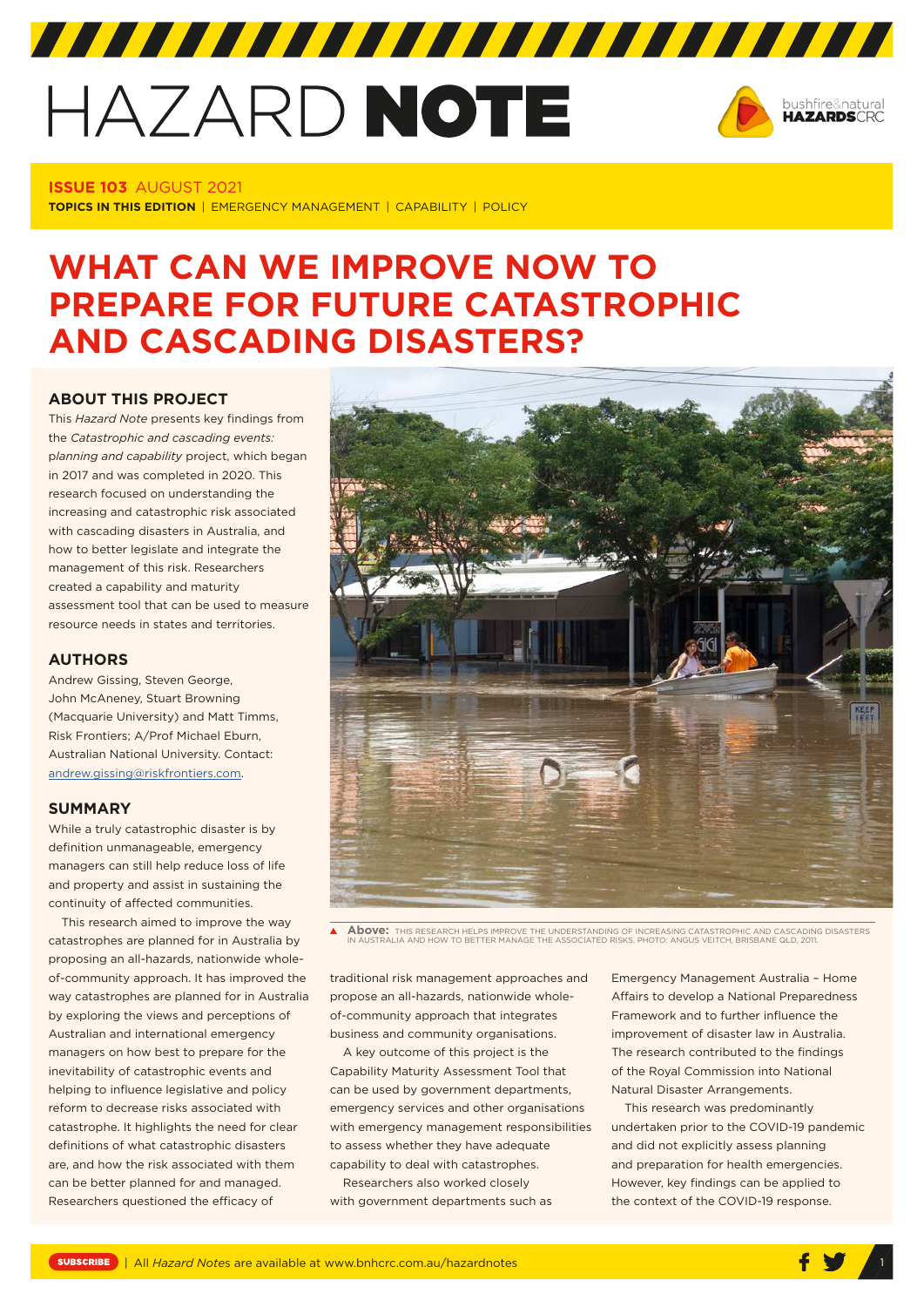# HAZARD NOTE



# **ISSUE 103** AUGUST 2021

**TOPICS IN THIS EDITION** | EMERGENCY MANAGEMENT | CAPABILITY | POLICY

# **WHAT CAN WE IMPROVE NOW TO PREPARE FOR FUTURE CATASTROPHIC AND CASCADING DISASTERS?**

# **ABOUT THIS PROJECT**

This *Hazard Note* presents key findings from the *Catastrophic and cascading events:* p*lanning and capability* project, which began in 2017 and was completed in 2020. This research focused on understanding the increasing and catastrophic risk associated with cascading disasters in Australia, and how to better legislate and integrate the management of this risk. Researchers created a capability and maturity assessment tool that can be used to measure resource needs in states and territories.

#### **AUTHORS**

Andrew Gissing, Steven George, John McAneney, Stuart Browning (Macquarie University) and Matt Timms, Risk Frontiers; A/Prof Michael Eburn, Australian National University. Contact: [andrew.gissing@riskfrontiers.com](mailto:andrew.gissing@riskfrontiers.com).

# **SUMMARY**

While a truly catastrophic disaster is by definition unmanageable, emergency managers can still help reduce loss of life and property and assist in sustaining the continuity of affected communities.

This research aimed to improve the way catastrophes are planned for in Australia by proposing an all-hazards, nationwide wholeof-community approach. It has improved the way catastrophes are planned for in Australia by exploring the views and perceptions of Australian and international emergency managers on how best to prepare for the inevitability of catastrophic events and helping to influence legislative and policy reform to decrease risks associated with catastrophe. It highlights the need for clear definitions of what catastrophic disasters are, and how the risk associated with them can be better planned for and managed. Researchers questioned the efficacy of



**Above:** THIS RESEARCH HELPS IMPROVE THE UNDERSTANDING OF INCREASING CATASTROPHIC AND CASCADING DISASTERS IN AUSTRALIA AND HOW TO BETTER MANAGE THE ASSOCIATED RISKS. PHOTO: ANGUS VEITCH, BRISBANE QLD, 2011.

traditional risk management approaches and propose an all-hazards, nationwide wholeof-community approach that integrates business and community organisations.

A key outcome of this project is the Capability Maturity Assessment Tool that can be used by government departments, emergency services and other organisations with emergency management responsibilities to assess whether they have adequate capability to deal with catastrophes.

Researchers also worked closely with government departments such as Emergency Management Australia – Home Affairs to develop a National Preparedness Framework and to further influence the improvement of disaster law in Australia. The research contributed to the findings of the Royal Commission into National Natural Disaster Arrangements.

This research was predominantly undertaken prior to the COVID-19 pandemic and did not explicitly assess planning and preparation for health emergencies. However, key findings can be applied to the context of the COVID-19 response.

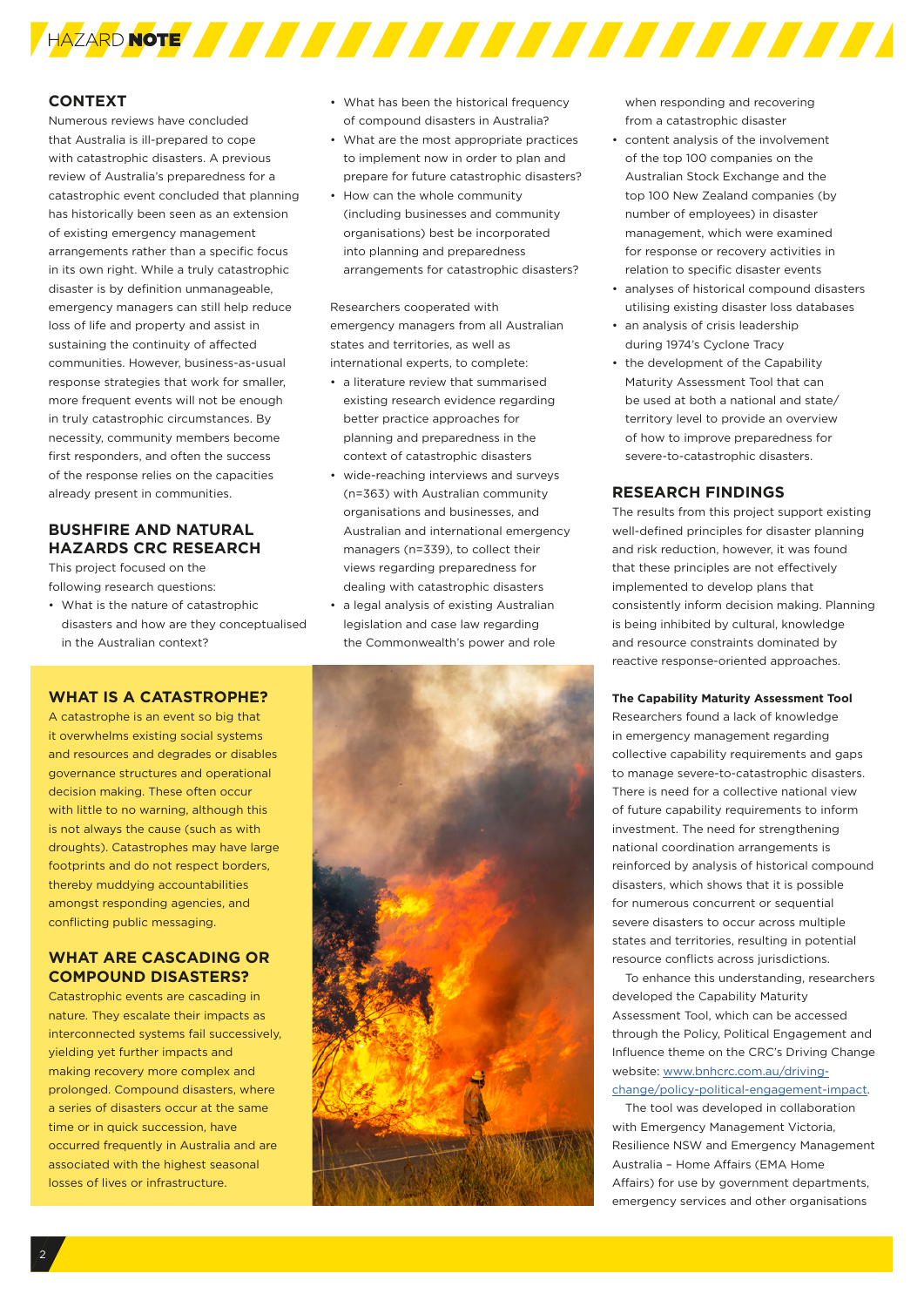

## **CONTEXT**

Numerous reviews have concluded that Australia is ill-prepared to cope with catastrophic disasters. A previous review of Australia's preparedness for a catastrophic event concluded that planning has historically been seen as an extension of existing emergency management arrangements rather than a specific focus in its own right. While a truly catastrophic disaster is by definition unmanageable, emergency managers can still help reduce loss of life and property and assist in sustaining the continuity of affected communities. However, business-as-usual response strategies that work for smaller, more frequent events will not be enough in truly catastrophic circumstances. By necessity, community members become first responders, and often the success of the response relies on the capacities already present in communities.

# **BUSHFIRE AND NATURAL HAZARDS CRC RESEARCH**

This project focused on the following research questions:

• What is the nature of catastrophic disasters and how are they conceptualised in the Australian context?

#### **WHAT IS A CATASTROPHE?**

A catastrophe is an event so big that it overwhelms existing social systems and resources and degrades or disables governance structures and operational decision making. These often occur with little to no warning, although this is not always the cause (such as with droughts). Catastrophes may have large footprints and do not respect borders, thereby muddying accountabilities amongst responding agencies, and conflicting public messaging.

# **WHAT ARE CASCADING OR COMPOUND DISASTERS?**

Catastrophic events are cascading in nature. They escalate their impacts as interconnected systems fail successively, yielding yet further impacts and making recovery more complex and prolonged. Compound disasters, where a series of disasters occur at the same time or in quick succession, have occurred frequently in Australia and are associated with the highest seasonal losses of lives or infrastructure.

- What has been the historical frequency of compound disasters in Australia?
- What are the most appropriate practices to implement now in order to plan and prepare for future catastrophic disasters?
- How can the whole community (including businesses and community organisations) best be incorporated into planning and preparedness arrangements for catastrophic disasters?

Researchers cooperated with emergency managers from all Australian states and territories, as well as international experts, to complete:

- a literature review that summarised existing research evidence regarding better practice approaches for planning and preparedness in the context of catastrophic disasters
- wide-reaching interviews and surveys (n=363) with Australian community organisations and businesses, and Australian and international emergency managers (n=339), to collect their views regarding preparedness for dealing with catastrophic disasters
- a legal analysis of existing Australian legislation and case law regarding the Commonwealth's power and role



when responding and recovering from a catastrophic disaster

- content analysis of the involvement of the top 100 companies on the Australian Stock Exchange and the top 100 New Zealand companies (by number of employees) in disaster management, which were examined for response or recovery activities in relation to specific disaster events
- analyses of historical compound disasters utilising existing disaster loss databases
- an analysis of crisis leadership during 1974's Cyclone Tracy
- the development of the Capability Maturity Assessment Tool that can be used at both a national and state/ territory level to provide an overview of how to improve preparedness for severe-to-catastrophic disasters.

## **RESEARCH FINDINGS**

The results from this project support existing well-defined principles for disaster planning and risk reduction, however, it was found that these principles are not effectively implemented to develop plans that consistently inform decision making. Planning is being inhibited by cultural, knowledge and resource constraints dominated by reactive response-oriented approaches.

#### **The Capability Maturity Assessment Tool**

Researchers found a lack of knowledge in emergency management regarding collective capability requirements and gaps to manage severe-to-catastrophic disasters. There is need for a collective national view of future capability requirements to inform investment. The need for strengthening national coordination arrangements is reinforced by analysis of historical compound disasters, which shows that it is possible for numerous concurrent or sequential severe disasters to occur across multiple states and territories, resulting in potential resource conflicts across jurisdictions.

To enhance this understanding, researchers developed the Capability Maturity Assessment Tool, which can be accessed through the Policy, Political Engagement and Influence theme on the CRC's Driving Change website: [www.bnhcrc.com.au/driving](http://www.bnhcrc.com.au/driving-change/policy-political-engagement-impact)[change/policy-political-engagement-impact.](http://www.bnhcrc.com.au/driving-change/policy-political-engagement-impact)

The tool was developed in collaboration with Emergency Management Victoria, Resilience NSW and Emergency Management Australia – Home Affairs (EMA Home Affairs) for use by government departments, emergency services and other organisations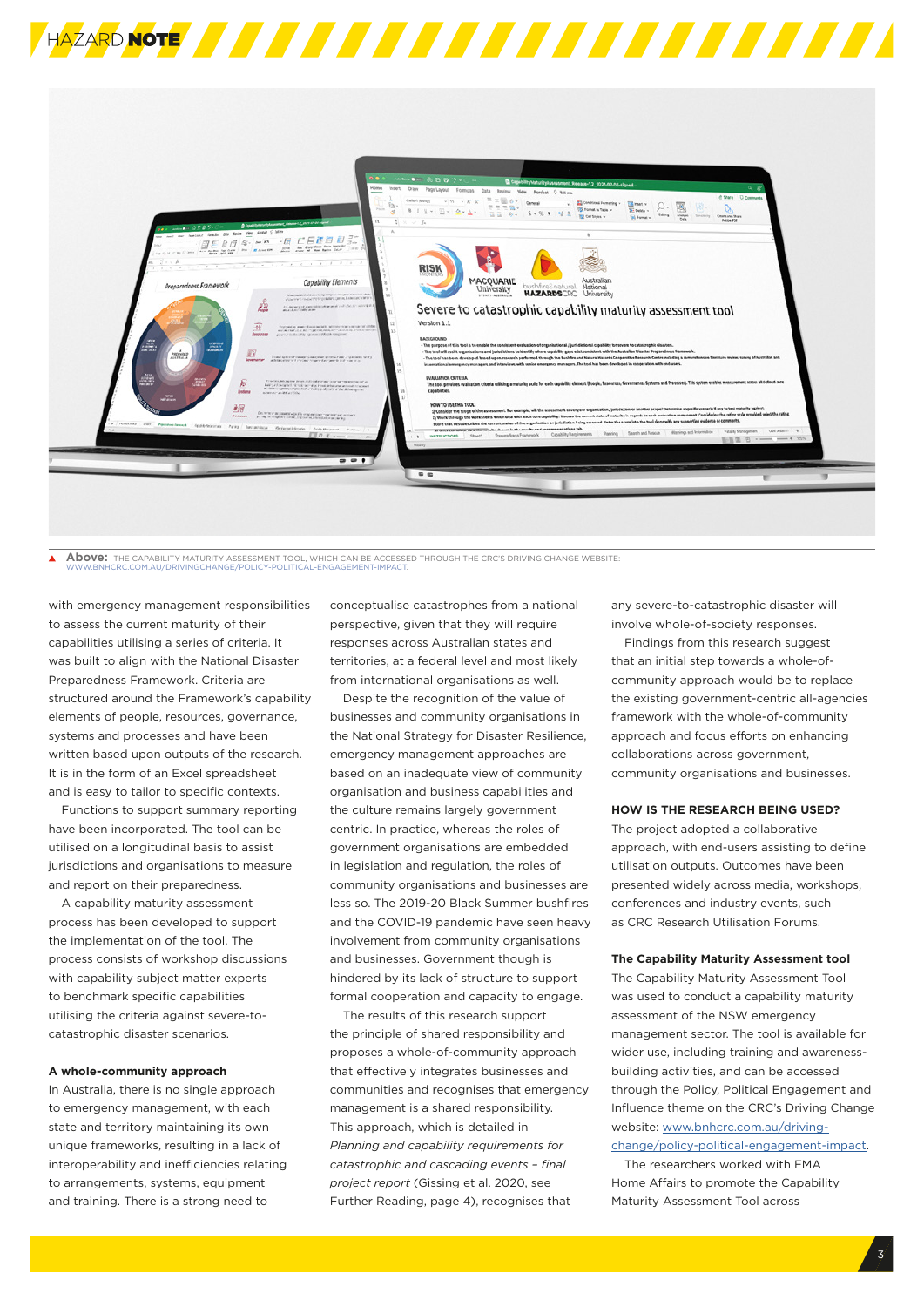



**Above:** THE CAPABILITY MATURITY ASSESSMENT TOOL, WHICH CAN BE ACCESSED THROUGH THE CRC'S DRIVING CHANGE WEBSITE: WWW.BNHCRC.COM.AU/DRIVINGCHANGE/POLICY-POLITICAL-ENGAGEMENT-IMPACT.

with emergency management responsibilities to assess the current maturity of their capabilities utilising a series of criteria. It was built to align with the National Disaster Preparedness Framework. Criteria are structured around the Framework's capability elements of people, resources, governance, systems and processes and have been written based upon outputs of the research. It is in the form of an Excel spreadsheet and is easy to tailor to specific contexts.

Functions to support summary reporting have been incorporated. The tool can be utilised on a longitudinal basis to assist jurisdictions and organisations to measure and report on their preparedness.

A capability maturity assessment process has been developed to support the implementation of the tool. The process consists of workshop discussions with capability subject matter experts to benchmark specific capabilities utilising the criteria against severe-tocatastrophic disaster scenarios.

#### **A whole-community approach**

In Australia, there is no single approach to emergency management, with each state and territory maintaining its own unique frameworks, resulting in a lack of interoperability and inefficiencies relating to arrangements, systems, equipment and training. There is a strong need to

conceptualise catastrophes from a national perspective, given that they will require responses across Australian states and territories, at a federal level and most likely from international organisations as well.

Despite the recognition of the value of businesses and community organisations in the National Strategy for Disaster Resilience, emergency management approaches are based on an inadequate view of community organisation and business capabilities and the culture remains largely government centric. In practice, whereas the roles of government organisations are embedded in legislation and regulation, the roles of community organisations and businesses are less so. The 2019-20 Black Summer bushfires and the COVID-19 pandemic have seen heavy involvement from community organisations and businesses. Government though is hindered by its lack of structure to support formal cooperation and capacity to engage.

The results of this research support the principle of shared responsibility and proposes a whole-of-community approach that effectively integrates businesses and communities and recognises that emergency management is a shared responsibility. This approach, which is detailed in *Planning and capability requirements for catastrophic and cascading events – final project report* (Gissing et al. 2020, see Further Reading, page 4), recognises that

any severe-to-catastrophic disaster will involve whole-of-society responses.

Findings from this research suggest that an initial step towards a whole-ofcommunity approach would be to replace the existing government-centric all-agencies framework with the whole-of-community approach and focus efforts on enhancing collaborations across government, community organisations and businesses.

#### **HOW IS THE RESEARCH BEING USED?**

The project adopted a collaborative approach, with end-users assisting to define utilisation outputs. Outcomes have been presented widely across media, workshops, conferences and industry events, such as CRC Research Utilisation Forums.

#### **The Capability Maturity Assessment tool**

The Capability Maturity Assessment Tool was used to conduct a capability maturity assessment of the NSW emergency management sector. The tool is available for wider use, including training and awarenessbuilding activities, and can be accessed through the Policy, Political Engagement and Influence theme on the CRC's Driving Change website: [www.bnhcrc.com.au/driving](http://www.bnhcrc.com.au/driving-change/policy-political-engagement-impact)[change/policy-political-engagement-impact](http://www.bnhcrc.com.au/driving-change/policy-political-engagement-impact).

The researchers worked with EMA Home Affairs to promote the Capability Maturity Assessment Tool across